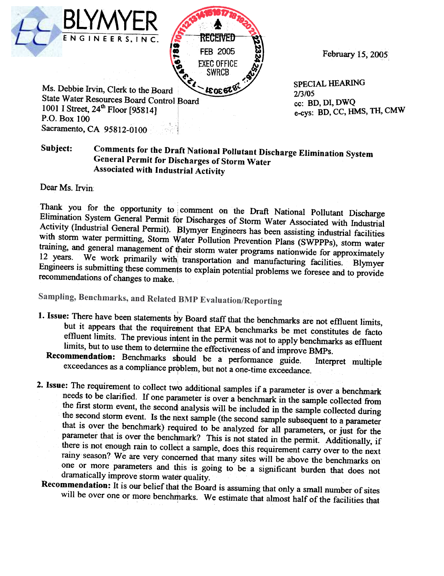



February 15, 2005

SPECIAL HEARING 2/3/05 cc: BD, Dl, DWQ e-cys: BD, CC, HMS, TH, CMW

Ms. Debbie Irvin, Clerk to the Board State Water Resources Board Control Board<br>1001 I Street, 24<sup>th</sup> Floor (95814] P.O. Box 100 Sacramento, CA 95812-0100

## Subject: Comments for the Draft National Pollutant Discharge Elimination System Associated with Industrial Activity

Dear Ms. Irvin

Thank you for the opportunity to comment on the Draft National Pollutant Discharge Elimination System General Permit for Discharges of Storm Water Associated with Industrial Activity (Industrial General Permit). Blymyer Engineers has been assisting industrial facilities with storm water permitting, Storm Water Pollution Prevention Plans (SWPPPs), storm water We work primarily with transportation and manufacturing facilities. 12 years. Blymver Engineers is submitting these comments to explain potential problems we foresee and to provide recommendations of changes to make.

Sampling, Benchmarks, and Related BMP Evaluation/Reporting

- 1. Issue: There have been statements by Board staff that the bonchmarks are not  $\infty$  and  $\infty$ but it appears that the requirement that EPA benchmarks be met constitutes de facto effluent limits. The previous intent in the permit was not to apply benchmarks as effluent limits, but to use them to determine the effectiveness of and improve BMPs.
	- Recommendation: Benchmarks should be a performance guide. Interpret multiple exceedances as a compliance problem, but not a one-time exceedance.
- 2. Issue: The requirement to collect two additional samples if a parameter is over a benchmark needs to be clarified. If one parameter is over a benchmark in the sample collected from the first storm event, the second analysis will be included in the sample collected during the second storm event. Is the next sample (the second sample subsequent to a parameter that is over the benchmark) required to be analyzed for all parameters, or just for the parameter that is over the benchmark? This is not stated in the permit. Additionally, if there is not enough rain to collect a sample, does this requirement carry over to the next rainy season? We are very concerned that many sites will be above the benchmarks on one or more parameters and this is going to be a significant burden that does not dramatically improve storm water quality.<br>Recommendation: It is our belief that the Board is assuming that only a small number of sites
	- will be over one or more benchmarks. We estimate that almost half of the facilities that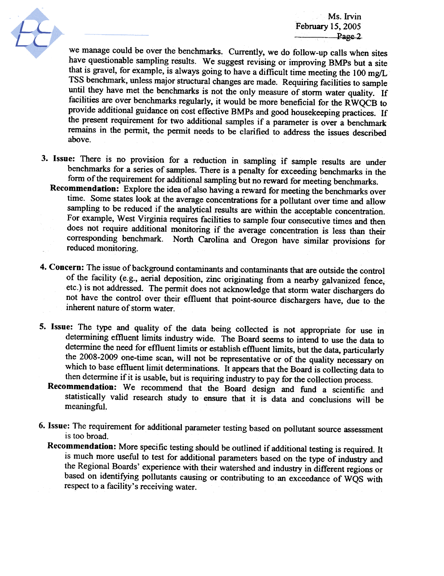

we manage could be over the benchmarks. Currently, we do follow-up calls when sites have questionable sampling results. We suggest revising or improving BMPs but a site that is gravel, for example, is always going to have a difficult time meeting the 100 mg/L TSS benchmark, unless major structural changes are made. Requiring facilities to sample until they have met the benchmarks is not the only measure of storm water quality. If facilities are over benchmarks regularly, it would be more beneficial for the RWQCB to provide additional guidance on cost effective BMPs and good housekeeping practices. If the present requirement for two additional samples if a parameter is over a benchmark remains in the permit, the permit needs to be clarified to address the issues described above.

- 3. Issue: There is no provision for a reduction in sampling if sample results are under benchmarks for a series of samples. There is a penalty for exceeding benchmarks in the form of the requirement for additional sampling but no reward for meeting benchmarks.
	- Recommendation: Explore the idea of also having a reward for meeting the benchmarks over time. Some states look at the average concentrations for a pollutant over time and allow sampling to be reduced if the analytical results are within the acceptable concentration. For example, West Virginia requires facilities to sample four consecutive times and then does not require additional monitoring if the average concentration is less than their corresponding benchmark. North Carolina and Oregon have similar provisions for reduced monitoring.
- 4. Concern: The issue of background contaminants and contaminants that are outside the control of the facility (e.g., aerial deposition, zinc originating from a nearby galvanized fence, etc.) is not addressed. The permit does not acknowledge that storm water dischargers do not have the control over their effluent that point-source dischargers have. due to the inherent nature of storm water.
- 5. Issue: The type and quality of the data being collected is not appropriate for use in determining effluent limits industry wide. The Board seems to intend to use the data to detennine the need for effluent limits or establish effluent limits, but the data, particularly the 2008-2009 one-time scan, will not be representative or of the quality necessary on which to base effluent limit determinations. It appears that the Board is collecting data to
	- then determine if it is usable, but is requiring industry to pay for the collection process.<br>Recommendation: We recommend that the Board design and fund a scientific and statistically valid research study to ensure that it is data and conclusions will be meaningful.
- 6. Issue: The requirement for additional parameter testing based on pollutant source assessment is too broad.
	- Recommendation: More specific testing should be outlined if additional testing is required. It is much more useful to test for additional parameters based on the type of industry and the Regional Boards' experience with their watershed and industry in different regions or based on identifying pollutants causing or contributing to an exceedance of WQS with respect to a facility's receiving water.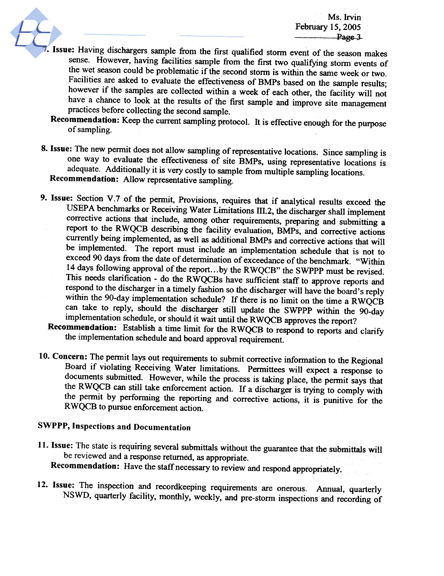Ms. Irvin February  $15, 2005$ Page 3



- 7. Issue: Having dischargers sample from the first qualified storm event of the season makes sense. However, having facilities sample from the first two qualifying storm events of the wet season could be problematic if the second storm is within the same week or two.<br>Facilities are asked to evaluate the effectiveness of BMPs based on the sample results; however if the samples are collected within a week of each other, the facility will not have a chance to look at the results of the first sample and improve site management practices before collecting the second sample.<br>Recommendation: Keep the current sampling protocol. It is effective enough for the purpose
- of sampling.
- 8. Issue: The new permit does not allow sampling of representative locations. Since sampling is one way to evaluate the effectiveness of site BMPs, using representative locations is adequate. Additionally it is very costly to sample from multiple sampling locations. Recommendation: Allow representative sampling.
- 9. Issue: Section V.7 of the permit, Provisions, requires that if analytical results exceed the USEPA benchmarks or Receiving Water Limitations III.2, the discharger shall implement corrective actions that include, among other requirements, preparing and submitting a report to the RWQCB describing the facility evalua currently being implemented, as well as additional BMPs and corrective actions that will be implemented. The report must include an implementation schedule that is not to exceed 90 days from the date of determination of exceedance of the benchmark. "Within 14 days following approval of the report...by the RWQCB" the SWPPP must be revised.<br>This needs clarification - do the RWQCBs have sufficient staff to approve reports and respond to the discharger in a timely fashion so the discharger will have the board's reply within the 90-day implementation schedule? If there is no limit on the time a RWQCB can take to reply, should the discharger still update the SWPPP within the 90-day implementation schedule, or should it wait until the RWQCB approves the report?
	- Recommendation: Establish a time limit for the RWQCB to respond to reports and clarify the implementation schedule and board approval requirement.
- 10. Concern: The permit lays out requirements to submit corrective information to the Regional<br>Board if violating Receiving Water limitations. Permittees will expect a response to documents submitted. However, while the process is taking place, the permit says that the RWQCB can still take enforcement action. If a discharger is trying to comply with the permit by performing the reporting and corrective actions, it is punitive for the RWQCB to pursue enforcement action.

## SWPPP, Inspections and Documentation

- 11. Issue: The state is requiring several submittals without the guarantee that the submittals will be reviewed and a response returned, as appropriate.<br>Recommendation: Have the staff necessary to review and respond appropriately.
- 12. Issue: The inspection and recordkeeping requirements are onerous. Annual, quarterly NSWD, quarterly facility, monthly, weekly, and pre-storm inspections and recording of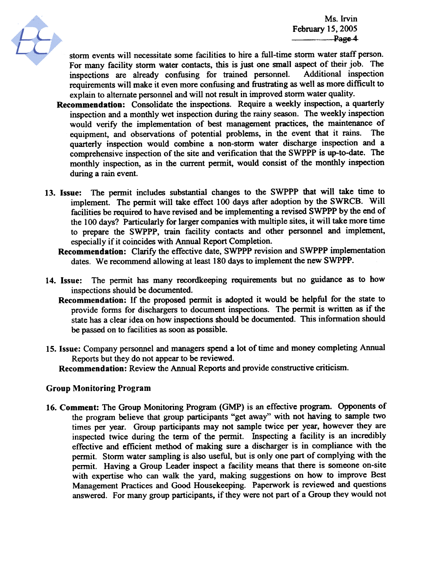Ms. Irvin February 15,2005 Page 4



storm events will necessitate some facilities to hire a full-time storm water staff person. For many facility storm water contacts, this is just one small aspect of their job. The inspections are already confusing for trained personnel. Additional inspection requirements will make it even more confusing and frustrating as well as more difficult to explain to alternate personnel and will not result in improved storm water quality.

- Recommendation: Consolidate the inspections. Require a weekly inspection, a quarterly inspection and a monthly wet inspection during the rainy season. The weekly inspection would verify the implementation of best management practices, the maintenance of equipment, and observations of potential problems, in the event that it rains. The quarterly inspection would combine a non-storm water discharge inspection and a comprehensive inspection of the site and verification that the SWPPP is up-to-date. The monthly inspection, as in the current permit, would consist of the monthly inspection during a rain event.
- 13. Issue: The permit includes substantial changes to the SWPPP that will take time to implement. The permit will take effect 100 days after adoption by the SWRCB. Will facilities be required to have revised and be implementing a revised SWPPP by the end of the 100 days? Particularly for larger companies with multiple sites, it will take more time to prepare the SWPPP, train facility contacts and other personnel and implement, especially if it coincides with Annual Report Completion.
	- Recommendation: Clarify the effective date, SWPPP revision and SWPPP implementation dates. We recommend allowing at least 180 days to implement the new SWPPP.
- 14. Issue: The pennit has many recordkeeping requirements but no guidance as to how inspections should be documented.
	- Recommendation: If the proposed permit is adopted it would be helpful for the state to provide forms for dischargers to document inspections. The pennit is written as if the state has a clear idea on how inspections should be documented. This information should be passed on to facilities as soon as possible.
- 15. Issue: Company personnel and managers spend a lot of time and money completing Annual Reports but they do not appear to be reviewed.

Recommendation: Review the Annual Reports and provide constructive criticism.

## Group Monitoring Program

16. Comment: The Group Monitoring Program (GMP) is an effective program. Opponents of the program believe that group participants "get away" with not having to sample two times per year. Group participants may not sample twice per year, however they are inspected twice during the term of the permit. Inspecting a facility is an incredibly effective and efficient method of making sure a discharger is in compliance with thepermit. Storm water sampling is also useful, but is only one part of complying with the permit. Having a Group Leader inspect a facility means that there is someone on-site with expertise who can walk the yard, making suggestions on how to improve Best Management Practices and Good Housekeeping. Paperwork is reviewed and questions answered. For many group participants, if they were not part of a Group they would not